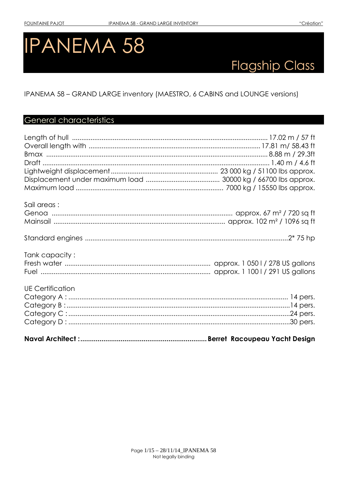# **IPANEMA 58**

# **Flagship Class**

IPANEMA 58 - GRAND LARGE inventory (MAESTRO, 6 CABINS and LOUNGE versions)

# General characteristics

| Sail areas:             |                                |
|-------------------------|--------------------------------|
|                         |                                |
|                         |                                |
|                         |                                |
|                         |                                |
|                         |                                |
| Tank capacity:          |                                |
|                         |                                |
|                         |                                |
|                         |                                |
| <b>UE Certification</b> |                                |
|                         |                                |
|                         |                                |
|                         |                                |
|                         |                                |
|                         |                                |
|                         | Berret, Racoupeau Yacht Desian |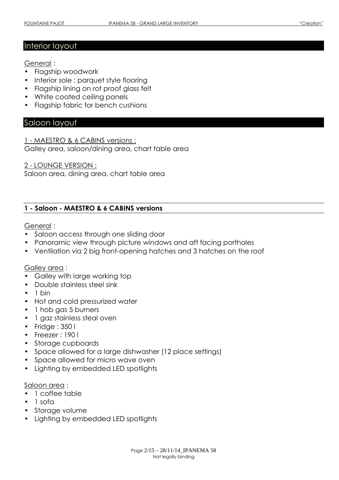#### Interior layout

General :

- Flagship woodwork
- Interior sole : parquet style flooring
- Flagship lining on rot proof glass felt
- White coated ceiling panels
- Flagship fabric for bench cushions

#### Saloon layout

1 - MAESTRO & 6 CABINS versions : Galley area, saloon/dining area, chart table area

2 - LOUNGE VERSION :

Saloon area, dining area, chart table area

#### 1 - Saloon - MAESTRO & 6 CABINS versions

#### General :

- Saloon access through one sliding door
- Panoramic view through picture windows and aft facing portholes
- Ventilation via 2 big front-opening hatches and 3 hatches on the roof

#### Galley area :

- Galley with large working top
- Double stainless steel sink
- $\bullet$  1 bin
- Hot and cold pressurized water
- 1 hob gas 5 burners
- 1 gaz stainless steal oven
- Fridge : 350 l
- Freezer: 190 l
- Storage cupboards
- Space allowed for a large dishwasher (12 place settings)
- Space allowed for micro wave oven
- Lighting by embedded LED spotlights

#### Saloon area :

- 1 coffee table
- 1 sofa
- Storage volume
- Lighting by embedded LED spotlights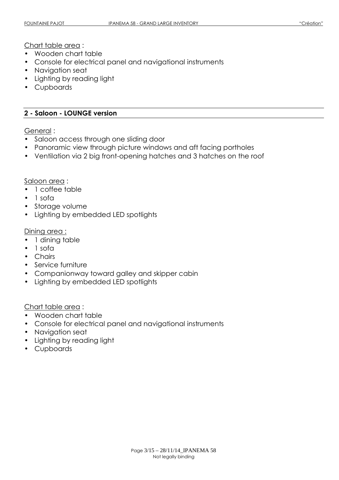Chart table area :

- Wooden chart table
- Console for electrical panel and navigational instruments
- Navigation seat
- Lighting by reading light
- Cupboards

#### 2 - Saloon - LOUNGE version

General :

- Saloon access through one sliding door
- Panoramic view through picture windows and aft facing portholes
- Ventilation via 2 big front-opening hatches and 3 hatches on the roof

Saloon area :

- 1 coffee table
- 1 sofa
- Storage volume
- Lighting by embedded LED spotlights

Dining area :

- 1 dining table
- 1 sofa
- Chairs
- Service furniture
- Companionway toward galley and skipper cabin
- Lighting by embedded LED spotlights

Chart table area :

- Wooden chart table
- Console for electrical panel and navigational instruments
- Navigation seat
- Lighting by reading light
- Cupboards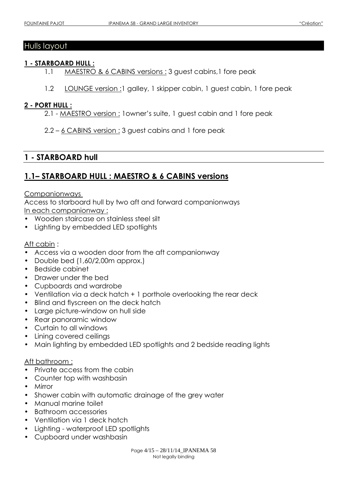# Hulls layout

#### 1 - STARBOARD HULL :

- 1.1 MAESTRO & 6 CABINS versions : 3 guest cabins,1 fore peak
- 1.2 LOUNGE version :1 galley, 1 skipper cabin, 1 guest cabin, 1 fore peak

#### 2 - PORT HULL :

- 2.1 MAESTRO version : 1owner's suite, 1 guest cabin and 1 fore peak
- 2.2 6 CABINS version : 3 guest cabins and 1 fore peak

## 1 - STARBOARD hull

# 1.1– STARBOARD HULL : MAESTRO & 6 CABINS versions

#### **Companionways**

Access to starboard hull by two aft and forward companionways In each companionway :

- Wooden staircase on stainless steel silt
- Lighting by embedded LED spotlights

#### Aft cabin :

- Access via a wooden door from the aft companionway
- Double bed (1,60/2,00m approx.)
- Bedside cabinet
- Drawer under the bed
- Cupboards and wardrobe
- Ventilation via a deck hatch + 1 porthole overlooking the rear deck
- Blind and flyscreen on the deck hatch
- Large picture-window on hull side
- Rear panoramic window
- Curtain to all windows
- Lining covered ceilings
- Main lighting by embedded LED spotlights and 2 bedside reading lights

#### Aft bathroom :

- Private access from the cabin
- Counter top with washbasin
- Mirror
- Shower cabin with automatic drainage of the grey water
- Manual marine toilet
- Bathroom accessories
- Ventilation via 1 deck hatch
- Lighting waterproof LED spotlights
- Cupboard under washbasin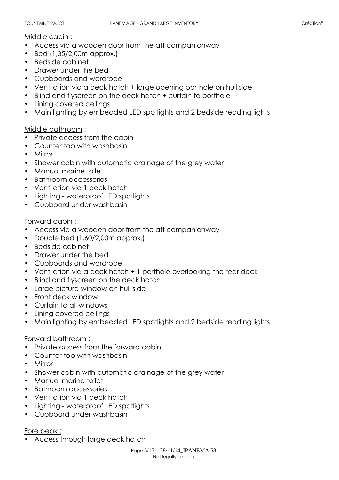#### Middle cabin :

- Access via a wooden door from the aft companionway
- Bed (1,35/2,00m approx.)
- Bedside cabinet
- Drawer under the bed
- Cupboards and wardrobe
- Ventilation via a deck hatch + large opening porthole on hull side
- Blind and flyscreen on the deck hatch + curtain to porthole
- Lining covered ceilings
- Main lighting by embedded LED spotlights and 2 bedside reading lights

#### Middle bathroom :

- Private access from the cabin
- Counter top with washbasin
- Mirror
- Shower cabin with automatic drainage of the grey water
- Manual marine toilet
- Bathroom accessories
- Ventilation via 1 deck hatch
- Lighting waterproof LED spotlights
- Cupboard under washbasin

#### Forward cabin :

- Access via a wooden door from the aft companionway
- Double bed (1,60/2,00m approx.)
- Bedside cabinet
- Drawer under the bed
- Cupboards and wardrobe
- Ventilation via a deck hatch + 1 porthole overlooking the rear deck
- Blind and flyscreen on the deck hatch
- Large picture-window on hull side
- Front deck window
- Curtain to all windows
- Lining covered ceilings
- Main lighting by embedded LED spotlights and 2 bedside reading lights

#### Forward bathroom :

- Private access from the forward cabin
- Counter top with washbasin
- Mirror
- Shower cabin with automatic drainage of the grey water
- Manual marine toilet
- Bathroom accessories
- Ventilation via 1 deck hatch
- Lighting waterproof LED spotlights
- Cupboard under washbasin

#### Fore peak :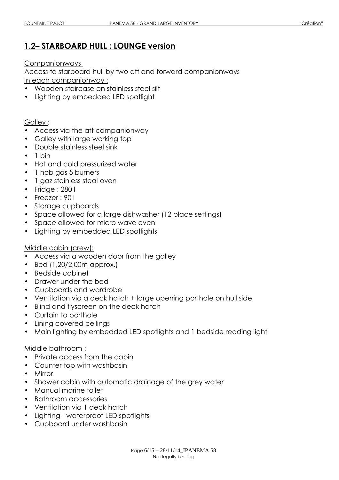# 1.2– STARBOARD HULL : LOUNGE version

Companionways

Access to starboard hull by two aft and forward companionways In each companionway :

- Wooden staircase on stainless steel silt
- Lighting by embedded LED spotlight

#### Galley :

- Access via the aft companionway
- Galley with large working top
- Double stainless steel sink
- $\bullet$  1 bin
- Hot and cold pressurized water
- 1 hob gas 5 burners
- 1 gaz stainless steal oven
- Fridge: 280 l
- Freezer: 90 l
- Storage cupboards
- Space allowed for a large dishwasher (12 place settings)
- Space allowed for micro wave oven
- Lighting by embedded LED spotlights

#### Middle cabin (crew):

- Access via a wooden door from the galley
- Bed (1,20/2,00m approx.)
- Bedside cabinet
- Drawer under the bed
- Cupboards and wardrobe
- Ventilation via a deck hatch + large opening porthole on hull side
- Blind and flyscreen on the deck hatch
- Curtain to porthole
- Lining covered ceilings
- Main lighting by embedded LED spotlights and 1 bedside reading light

#### Middle bathroom :

- Private access from the cabin
- Counter top with washbasin
- Mirror
- Shower cabin with automatic drainage of the grey water
- Manual marine toilet
- Bathroom accessories
- Ventilation via 1 deck hatch
- Lighting waterproof LED spotlights
- Cupboard under washbasin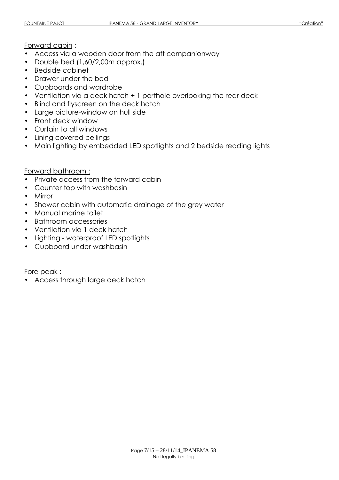#### Forward cabin :

- Access via a wooden door from the aft companionway
- Double bed (1,60/2,00m approx.)
- Bedside cabinet
- Drawer under the bed
- Cupboards and wardrobe
- Ventilation via a deck hatch + 1 porthole overlooking the rear deck
- Blind and flyscreen on the deck hatch
- Large picture-window on hull side
- Front deck window
- Curtain to all windows
- Lining covered ceilings
- Main lighting by embedded LED spotlights and 2 bedside reading lights

#### Forward bathroom :

- Private access from the forward cabin
- Counter top with washbasin
- Mirror
- Shower cabin with automatic drainage of the grey water
- Manual marine toilet
- Bathroom accessories
- Ventilation via 1 deck hatch
- Lighting waterproof LED spotlights
- Cupboard under washbasin

Fore peak :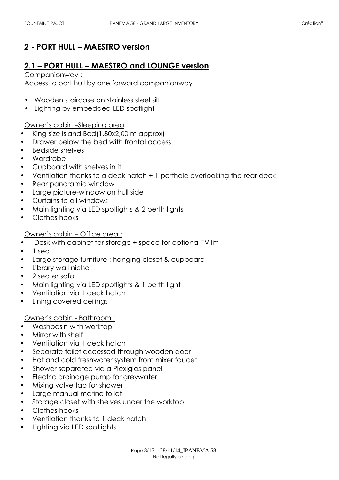# 2 - PORT HULL – MAESTRO version

# 2.1 – PORT HULL – MAESTRO and LOUNGE version

#### Companionway :

Access to port hull by one forward companionway

- Wooden staircase on stainless steel silt
- Lighting by embedded LED spotlight

#### Owner's cabin –Sleeping area

- King-size Island Bed(1,80x2,00 m approx)
- Drawer below the bed with frontal access
- Bedside shelves
- Wardrobe
- Cupboard with shelves in it
- Ventilation thanks to a deck hatch + 1 porthole overlooking the rear deck
- Rear panoramic window
- Large picture-window on hull side
- Curtains to all windows
- Main lighting via LED spotlights & 2 berth lights
- Clothes hooks
- Owner's cabin Office area :
- Desk with cabinet for storage + space for optional TV lift
- 1 seat
- Large storage furniture : hanging closet & cupboard
- Library wall niche
- 2 seater sofa
- Main lighting via LED spotlights & 1 berth light
- Ventilation via 1 deck hatch
- Lining covered ceilings

#### Owner's cabin - Bathroom :

- Washbasin with worktop
- Mirror with shelf
- Ventilation via 1 deck hatch
- Separate toilet accessed through wooden door
- Hot and cold freshwater system from mixer faucet
- Shower separated via a Plexiglas panel
- Electric drainage pump for greywater
- Mixing valve tap for shower
- Large manual marine toilet
- Storage closet with shelves under the worktop
- Clothes hooks
- Ventilation thanks to 1 deck hatch
- Lighting via LED spotlights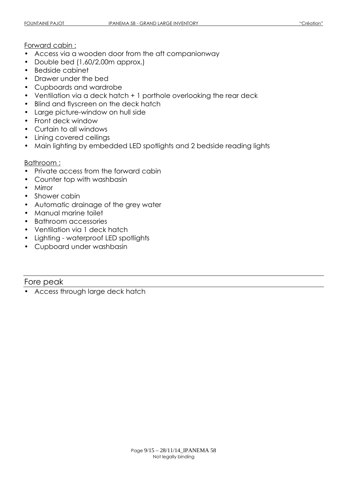#### Forward cabin :

- Access via a wooden door from the aft companionway
- Double bed (1,60/2,00m approx.)
- Bedside cabinet
- Drawer under the bed
- Cupboards and wardrobe
- Ventilation via a deck hatch + 1 porthole overlooking the rear deck
- Blind and flyscreen on the deck hatch
- Large picture-window on hull side
- Front deck window
- Curtain to all windows
- Lining covered ceilings
- Main lighting by embedded LED spotlights and 2 bedside reading lights

#### Bathroom :

- Private access from the forward cabin
- Counter top with washbasin
- Mirror
- Shower cabin
- Automatic drainage of the grey water
- Manual marine toilet
- Bathroom accessories
- Ventilation via 1 deck hatch
- Lighting waterproof LED spotlights
- Cupboard under washbasin

#### Fore peak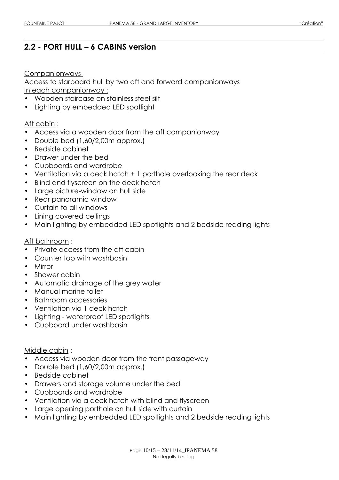# 2.2 - PORT HULL – 6 CABINS version

#### Companionways

Access to starboard hull by two aft and forward companionways In each companionway :

- Wooden staircase on stainless steel silt
- Lighting by embedded LED spotlight

#### Aft cabin :

- Access via a wooden door from the aft companionway
- Double bed (1,60/2,00m approx.)
- Bedside cabinet
- Drawer under the bed
- Cupboards and wardrobe
- Ventilation via a deck hatch + 1 porthole overlooking the rear deck
- Blind and flyscreen on the deck hatch
- Large picture-window on hull side
- Rear panoramic window
- Curtain to all windows
- Lining covered ceilings
- Main lighting by embedded LED spotlights and 2 bedside reading lights

#### Aft bathroom :

- Private access from the aft cabin
- Counter top with washbasin
- Mirror
- Shower cabin
- Automatic drainage of the grey water
- Manual marine toilet
- Bathroom accessories
- Ventilation via 1 deck hatch
- Lighting waterproof LED spotlights
- Cupboard under washbasin

#### Middle cabin :

- Access via wooden door from the front passageway
- Double bed (1,60/2,00m approx.)
- Bedside cabinet
- Drawers and storage volume under the bed
- Cupboards and wardrobe
- Ventilation via a deck hatch with blind and flyscreen
- Large opening porthole on hull side with curtain
- Main lighting by embedded LED spotlights and 2 bedside reading lights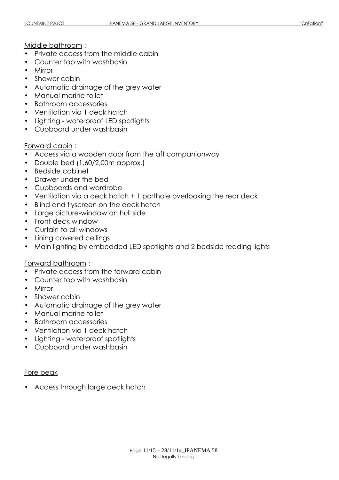Middle bathroom :

- Private access from the middle cabin
- Counter top with washbasin
- Mirror
- Shower cabin
- Automatic drainage of the grey water
- Manual marine toilet
- Bathroom accessories
- Ventilation via 1 deck hatch
- Lighting waterproof LED spotlights
- Cupboard under washbasin

#### Forward cabin :

- Access via a wooden door from the aft companionway
- Double bed (1,60/2,00m approx.)
- Bedside cabinet
- Drawer under the bed
- Cupboards and wardrobe
- Ventilation via a deck hatch + 1 porthole overlooking the rear deck
- Blind and flyscreen on the deck hatch
- Large picture-window on hull side
- Front deck window
- Curtain to all windows
- Lining covered ceilings
- Main lighting by embedded LED spotlights and 2 bedside reading lights

#### Forward bathroom :

- Private access from the forward cabin
- Counter top with washbasin
- Mirror
- Shower cabin
- Automatic drainage of the grey water
- Manual marine toilet
- Bathroom accessories
- Ventilation via 1 deck hatch
- Lighting waterproof spotlights
- Cupboard under washbasin

#### Fore peak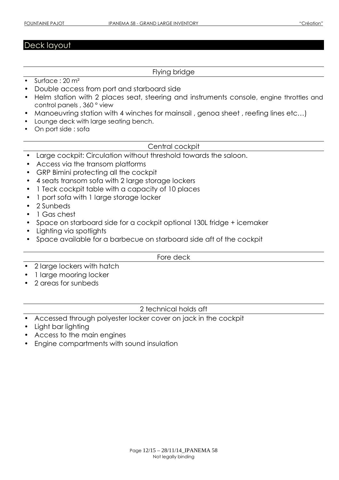# Deck layout

#### Flying bridge

- Surface : 20 m<sup>2</sup>
- Double access from port and starboard side
- Helm station with 2 places seat, steering and instruments console, engine throttles and control panels , 360 ° view
- Manoeuvring station with 4 winches for mainsail, genoa sheet, reefing lines etc...)
- Lounge deck with large seating bench.
- On port side : sofa

Central cockpit

- Large cockpit: Circulation without threshold towards the saloon.
- Access via the transom platforms
- GRP Bimini protecting all the cockpit
- 4 seats transom sofa with 2 large storage lockers
- 1 Teck cockpit table with a capacity of 10 places
- 1 port sofa with 1 large storage locker
- 2 Sunbeds
- 1 Gas chest
- Space on starboard side for a cockpit optional 130L fridge + icemaker
- Lighting via spotlights
- Space available for a barbecue on starboard side aft of the cockpit

Fore deck

- 2 large lockers with hatch
- 1 large mooring locker
- 2 areas for sunbeds

2 technical holds aft

- Accessed through polyester locker cover on jack in the cockpit
- Light bar lighting
- Access to the main engines
- Engine compartments with sound insulation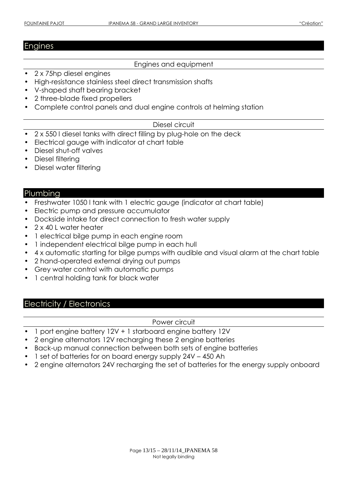## Engines

#### Engines and equipment

- 2 x 75hp diesel engines
- High-resistance stainless steel direct transmission shafts
- V-shaped shaft bearing bracket
- 2 three-blade fixed propellers
- Complete control panels and dual engine controls at helming station

#### Diesel circuit

- 2 x 550 l diesel tanks with direct filling by plug-hole on the deck
- Electrical gauge with indicator at chart table
- Diesel shut-off valves
- Diesel filtering
- Diesel water filtering

#### **Plumbing**

- Freshwater 1050 l tank with 1 electric gauge (indicator at chart table)
- Electric pump and pressure accumulator
- Dockside intake for direct connection to fresh water supply
- 2 x 40 L water heater
- 1 electrical bilge pump in each engine room
- 1 independent electrical bilge pump in each hull
- 4 x automatic starting for bilge pumps with audible and visual alarm at the chart table
- 2 hand-operated external drying out pumps
- Grey water control with automatic pumps
- 1 central holding tank for black water

#### Electricity / Electronics

#### Power circuit

- 1 port engine battery 12V + 1 starboard engine battery 12V
- 2 engine alternators 12V recharging these 2 engine batteries
- Back-up manual connection between both sets of engine batteries
- 1 set of batteries for on board energy supply 24V 450 Ah
- 2 engine alternators 24V recharging the set of batteries for the energy supply onboard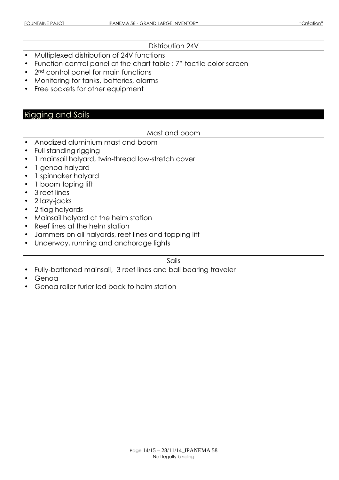#### Distribution 24V

- Multiplexed distribution of 24V functions
- Function control panel at the chart table : 7" tactile color screen
- 2<sup>nd</sup> control panel for main functions
- Monitoring for tanks, batteries, alarms
- Free sockets for other equipment

# Rigging and Sails

#### Mast and boom

- Anodized aluminium mast and boom
- Full standing rigging
- 1 mainsail halyard, twin-thread low-stretch cover
- 1 genoa halyard
- 1 spinnaker halyard
- 1 boom toping lift
- 3 reef lines
- 2 lazy-jacks
- 2 flag halyards
- Mainsail halyard at the helm station
- Reef lines at the helm station
- Jammers on all halyards, reef lines and topping lift
- Underway, running and anchorage lights

#### Sails

- Fully-battened mainsail, 3 reef lines and ball bearing traveler
- Genoa
- Genoa roller furler led back to helm station